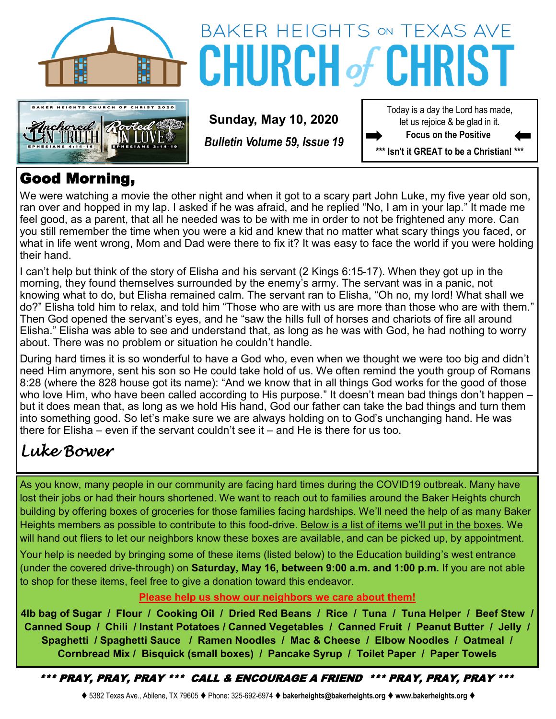



# BAKER HEIGHTS ON TEXAS AVE **CHURCH of CH**

**Sunday, May 10, 2020**

*Bulletin Volume 59, Issue 19*

Today is a day the Lord has made, let us rejoice & be glad in it. **Focus on the Positive** 

**\*\*\* Isn't it GREAT to be a Christian! \*\*\***

### Good Morning,

We were watching a movie the other night and when it got to a scary part John Luke, my five year old son, ran over and hopped in my lap. I asked if he was afraid, and he replied "No, I am in your lap." It made me feel good, as a parent, that all he needed was to be with me in order to not be frightened any more. Can you still remember the time when you were a kid and knew that no matter what scary things you faced, or what in life went wrong, Mom and Dad were there to fix it? It was easy to face the world if you were holding their hand.

I can't help but think of the story of Elisha and his servant (2 Kings 6:15-17). When they got up in the morning, they found themselves surrounded by the enemy's army. The servant was in a panic, not knowing what to do, but Elisha remained calm. The servant ran to Elisha, "Oh no, my lord! What shall we do?" Elisha told him to relax, and told him "Those who are with us are more than those who are with them." Then God opened the servant's eyes, and he "saw the hills full of horses and chariots of fire all around Elisha." Elisha was able to see and understand that, as long as he was with God, he had nothing to worry about. There was no problem or situation he couldn't handle.

During hard times it is so wonderful to have a God who, even when we thought we were too big and didn't need Him anymore, sent his son so He could take hold of us. We often remind the youth group of Romans 8:28 (where the 828 house got its name): "And we know that in all things God works for the good of those who love Him, who have been called according to His purpose." It doesn't mean bad things don't happen – but it does mean that, as long as we hold His hand, God our father can take the bad things and turn them into something good. So let's make sure we are always holding on to God's unchanging hand. He was there for Elisha – even if the servant couldn't see it – and He is there for us too.

### *Luke Bower*

As you know, many people in our community are facing hard times during the COVID19 outbreak. Many have lost their jobs or had their hours shortened. We want to reach out to families around the Baker Heights church building by offering boxes of groceries for those families facing hardships. We'll need the help of as many Baker Heights members as possible to contribute to this food-drive. Below is a list of items we'll put in the boxes. We will hand out fliers to let our neighbors know these boxes are available, and can be picked up, by appointment.

Your help is needed by bringing some of these items (listed below) to the Education building's west entrance (under the covered drive-through) on **Saturday, May 16, between 9:00 a.m. and 1:00 p.m.** If you are not able to shop for these items, feel free to give a donation toward this endeavor.

#### **Please help us show our neighbors we care about them!**

**4lb bag of Sugar / Flour / Cooking Oil / Dried Red Beans / Rice / Tuna / Tuna Helper / Beef Stew / Canned Soup / Chili / Instant Potatoes / Canned Vegetables / Canned Fruit / Peanut Butter / Jelly / Spaghetti / Spaghetti Sauce / Ramen Noodles / Mac & Cheese / Elbow Noodles / Oatmeal / Cornbread Mix / Bisquick (small boxes) / Pancake Syrup / Toilet Paper / Paper Towels** 

\*\*\* PRAY, PRAY, PRAY \*\*\* CALL & ENCOURAGE A FRIEND \*\*\* PRAY, PRAY, PRAY \*\*\*

⧫ 5382 Texas Ave., Abilene, TX 79605 ⧫ Phone: 325-692-6974 ⧫ **bakerheights@bakerheights.org** ⧫ **www.bakerheights.org** ⧫